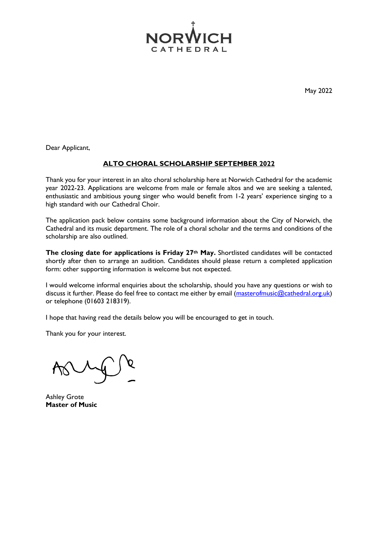

May 2022

Dear Applicant,

#### **ALTO CHORAL SCHOLARSHIP SEPTEMBER 2022**

Thank you for your interest in an alto choral scholarship here at Norwich Cathedral for the academic year 2022-23. Applications are welcome from male or female altos and we are seeking a talented, enthusiastic and ambitious young singer who would benefit from 1-2 years' experience singing to a high standard with our Cathedral Choir.

The application pack below contains some background information about the City of Norwich, the Cathedral and its music department. The role of a choral scholar and the terms and conditions of the scholarship are also outlined.

**The closing date for applications is Friday 27th May.** Shortlisted candidates will be contacted shortly after then to arrange an audition. Candidates should please return a completed application form: other supporting information is welcome but not expected.

I would welcome informal enquiries about the scholarship, should you have any questions or wish to discuss it further. Please do feel free to contact me either by email [\(masterofmusic@cathedral.org.uk\)](mailto:masterofmusic@cathedral.org.uk) or telephone (01603 218319).

I hope that having read the details below you will be encouraged to get in touch.

Thank you for your interest.

Ashley Grote **Master of Music**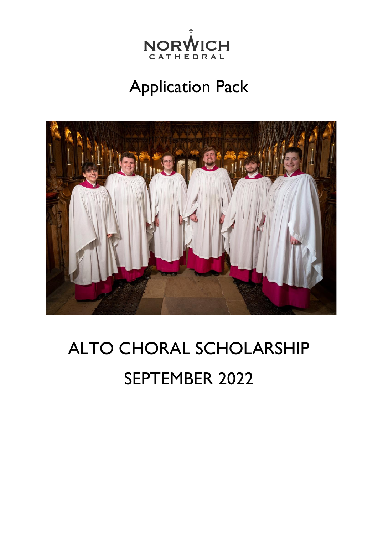

# Application Pack



# ALTO CHORAL SCHOLARSHIP SEPTEMBER 2022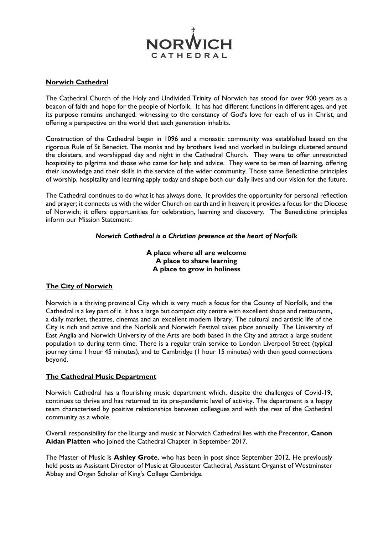

#### **Norwich Cathedral**

The Cathedral Church of the Holy and Undivided Trinity of Norwich has stood for over 900 years as a beacon of faith and hope for the people of Norfolk. It has had different functions in different ages, and yet its purpose remains unchanged: witnessing to the constancy of God's love for each of us in Christ, and offering a perspective on the world that each generation inhabits.

Construction of the Cathedral began in 1096 and a monastic community was established based on the rigorous Rule of St Benedict. The monks and lay brothers lived and worked in buildings clustered around the cloisters, and worshipped day and night in the Cathedral Church. They were to offer unrestricted hospitality to pilgrims and those who came for help and advice. They were to be men of learning, offering their knowledge and their skills in the service of the wider community. Those same Benedictine principles of worship, hospitality and learning apply today and shape both our daily lives and our vision for the future.

The Cathedral continues to do what it has always done. It provides the opportunity for personal reflection and prayer; it connects us with the wider Church on earth and in heaven; it provides a focus for the Diocese of Norwich; it offers opportunities for celebration, learning and discovery. The Benedictine principles inform our Mission Statement:

#### *Norwich Cathedral is a Christian presence at the heart of Norfolk*

#### **A place where all are welcome A place to share learning A place to grow in holiness**

#### **The City of Norwich**

Norwich is a thriving provincial City which is very much a focus for the County of Norfolk, and the Cathedral is a key part of it. It has a large but compact city centre with excellent shops and restaurants, a daily market, theatres, cinemas and an excellent modern library. The cultural and artistic life of the City is rich and active and the Norfolk and Norwich Festival takes place annually. The University of East Anglia and Norwich University of the Arts are both based in the City and attract a large student population to during term time. There is a regular train service to London Liverpool Street (typical journey time 1 hour 45 minutes), and to Cambridge (1 hour 15 minutes) with then good connections beyond.

#### **The Cathedral Music Department**

Norwich Cathedral has a flourishing music department which, despite the challenges of Covid-19, continues to thrive and has returned to its pre-pandemic level of activity. The department is a happy team characterised by positive relationships between colleagues and with the rest of the Cathedral community as a whole.

Overall responsibility for the liturgy and music at Norwich Cathedral lies with the Precentor, **Canon Aidan Platten** who joined the Cathedral Chapter in September 2017.

The Master of Music is **Ashley Grote**, who has been in post since September 2012. He previously held posts as Assistant Director of Music at Gloucester Cathedral, Assistant Organist of Westminster Abbey and Organ Scholar of King's College Cambridge.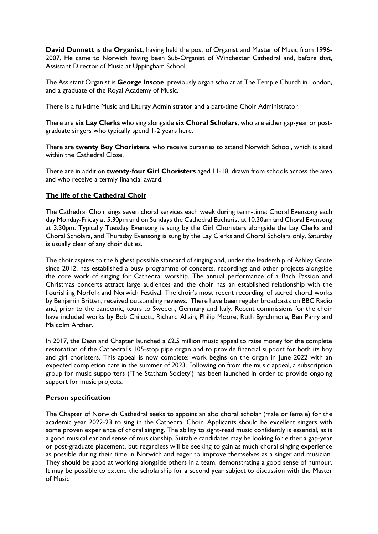**David Dunnett** is the **Organist**, having held the post of Organist and Master of Music from 1996- 2007. He came to Norwich having been Sub-Organist of Winchester Cathedral and, before that, Assistant Director of Music at Uppingham School.

The Assistant Organist is **George Inscoe**, previously organ scholar at The Temple Church in London, and a graduate of the Royal Academy of Music.

There is a full-time Music and Liturgy Administrator and a part-time Choir Administrator.

There are **six Lay Clerks** who sing alongside **six Choral Scholars**, who are either gap-year or postgraduate singers who typically spend 1-2 years here.

There are **twenty Boy Choristers**, who receive bursaries to attend Norwich School, which is sited within the Cathedral Close.

There are in addition **twenty-four Girl Choristers** aged 11-18, drawn from schools across the area and who receive a termly financial award.

#### **The life of the Cathedral Choir**

The Cathedral Choir sings seven choral services each week during term-time: Choral Evensong each day Monday-Friday at 5.30pm and on Sundays the Cathedral Eucharist at 10.30am and Choral Evensong at 3.30pm. Typically Tuesday Evensong is sung by the Girl Choristers alongside the Lay Clerks and Choral Scholars, and Thursday Evensong is sung by the Lay Clerks and Choral Scholars only. Saturday is usually clear of any choir duties.

The choir aspires to the highest possible standard of singing and, under the leadership of Ashley Grote since 2012, has established a busy programme of concerts, recordings and other projects alongside the core work of singing for Cathedral worship. The annual performance of a Bach Passion and Christmas concerts attract large audiences and the choir has an established relationship with the flourishing Norfolk and Norwich Festival. The choir's most recent recording, of sacred choral works by Benjamin Britten, received outstanding reviews. There have been regular broadcasts on BBC Radio and, prior to the pandemic, tours to Sweden, Germany and Italy. Recent commissions for the choir have included works by Bob Chilcott, Richard Allain, Philip Moore, Ruth Byrchmore, Ben Parry and Malcolm Archer.

In 2017, the Dean and Chapter launched a £2.5 million music appeal to raise money for the complete restoration of the Cathedral's 105-stop pipe organ and to provide financial support for both its boy and girl choristers. This appeal is now complete: work begins on the organ in June 2022 with an expected completion date in the summer of 2023. Following on from the music appeal, a subscription group for music supporters ('The Statham Society') has been launched in order to provide ongoing support for music projects.

#### **Person specification**

The Chapter of Norwich Cathedral seeks to appoint an alto choral scholar (male or female) for the academic year 2022-23 to sing in the Cathedral Choir. Applicants should be excellent singers with some proven experience of choral singing. The ability to sight-read music confidently is essential, as is a good musical ear and sense of musicianship. Suitable candidates may be looking for either a gap-year or post-graduate placement, but regardless will be seeking to gain as much choral singing experience as possible during their time in Norwich and eager to improve themselves as a singer and musician. They should be good at working alongside others in a team, demonstrating a good sense of humour. It may be possible to extend the scholarship for a second year subject to discussion with the Master of Music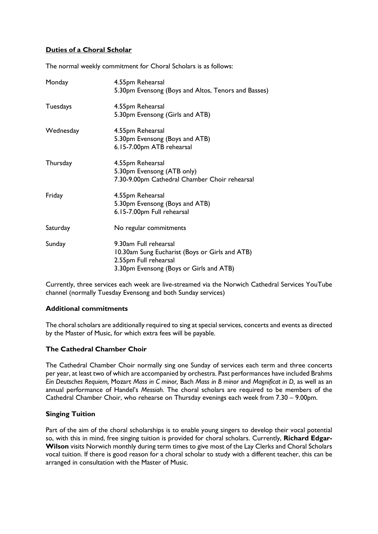#### **Duties of a Choral Scholar**

The normal weekly commitment for Choral Scholars is as follows:

| Monday    | 4.55pm Rehearsal<br>5.30pm Evensong (Boys and Altos, Tenors and Basses)                                                                     |
|-----------|---------------------------------------------------------------------------------------------------------------------------------------------|
| Tuesdays  | 4.55pm Rehearsal<br>5.30pm Evensong (Girls and ATB)                                                                                         |
| Wednesday | 4.55pm Rehearsal<br>5.30pm Evensong (Boys and ATB)<br>6.15-7.00pm ATB rehearsal                                                             |
| Thursday  | 4.55pm Rehearsal<br>5.30pm Evensong (ATB only)<br>7.30-9.00pm Cathedral Chamber Choir rehearsal                                             |
| Friday    | 4.55pm Rehearsal<br>5.30pm Evensong (Boys and ATB)<br>6.15-7.00pm Full rehearsal                                                            |
| Saturday  | No regular commitments                                                                                                                      |
| Sunday    | 9.30am Full rehearsal<br>10.30am Sung Eucharist (Boys or Girls and ATB)<br>2.55pm Full rehearsal<br>3.30pm Evensong (Boys or Girls and ATB) |

Currently, three services each week are live-streamed via the Norwich Cathedral Services YouTube channel (normally Tuesday Evensong and both Sunday services)

#### **Additional commitments**

The choral scholars are additionally required to sing at special services, concerts and events as directed by the Master of Music, for which extra fees will be payable.

#### **The Cathedral Chamber Choir**

The Cathedral Chamber Choir normally sing one Sunday of services each term and three concerts per year, at least two of which are accompanied by orchestra. Past performances have included Brahms *Ein Deutsches Requiem,* Mozart *Mass in C minor,* Bach *Mass in B minor* and *Magnificat in D,* as well as an annual performance of Handel's *Messiah.* The choral scholars are required to be members of the Cathedral Chamber Choir, who rehearse on Thursday evenings each week from 7.30 – 9.00pm.

#### **Singing Tuition**

Part of the aim of the choral scholarships is to enable young singers to develop their vocal potential so, with this in mind, free singing tuition is provided for choral scholars. Currently, **Richard Edgar-Wilson** visits Norwich monthly during term times to give most of the Lay Clerks and Choral Scholars vocal tuition. If there is good reason for a choral scholar to study with a different teacher, this can be arranged in consultation with the Master of Music.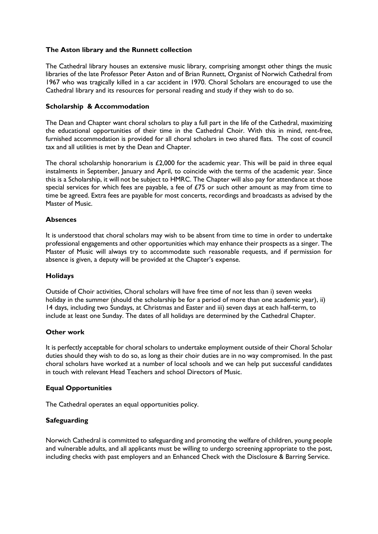#### **The Aston library and the Runnett collection**

The Cathedral library houses an extensive music library, comprising amongst other things the music libraries of the late Professor Peter Aston and of Brian Runnett, Organist of Norwich Cathedral from 1967 who was tragically killed in a car accident in 1970. Choral Scholars are encouraged to use the Cathedral library and its resources for personal reading and study if they wish to do so.

#### **Scholarship & Accommodation**

The Dean and Chapter want choral scholars to play a full part in the life of the Cathedral, maximizing the educational opportunities of their time in the Cathedral Choir. With this in mind, rent-free, furnished accommodation is provided for all choral scholars in two shared flats. The cost of council tax and all utilities is met by the Dean and Chapter.

The choral scholarship honorarium is £2,000 for the academic year. This will be paid in three equal instalments in September, January and April, to coincide with the terms of the academic year. Since this is a Scholarship, it will not be subject to HMRC. The Chapter will also pay for attendance at those special services for which fees are payable, a fee of £75 or such other amount as may from time to time be agreed. Extra fees are payable for most concerts, recordings and broadcasts as advised by the Master of Music.

#### **Absences**

It is understood that choral scholars may wish to be absent from time to time in order to undertake professional engagements and other opportunities which may enhance their prospects as a singer. The Master of Music will always try to accommodate such reasonable requests, and if permission for absence is given, a deputy will be provided at the Chapter's expense.

#### **Holidays**

Outside of Choir activities, Choral scholars will have free time of not less than i) seven weeks holiday in the summer (should the scholarship be for a period of more than one academic year), ii) 14 days, including two Sundays, at Christmas and Easter and iii) seven days at each half-term, to include at least one Sunday. The dates of all holidays are determined by the Cathedral Chapter.

#### **Other work**

It is perfectly acceptable for choral scholars to undertake employment outside of their Choral Scholar duties should they wish to do so, as long as their choir duties are in no way compromised. In the past choral scholars have worked at a number of local schools and we can help put successful candidates in touch with relevant Head Teachers and school Directors of Music.

#### **Equal Opportunities**

The Cathedral operates an equal opportunities policy.

#### **Safeguarding**

Norwich Cathedral is committed to safeguarding and promoting the welfare of children, young people and vulnerable adults, and all applicants must be willing to undergo screening appropriate to the post, including checks with past employers and an Enhanced Check with the Disclosure & Barring Service.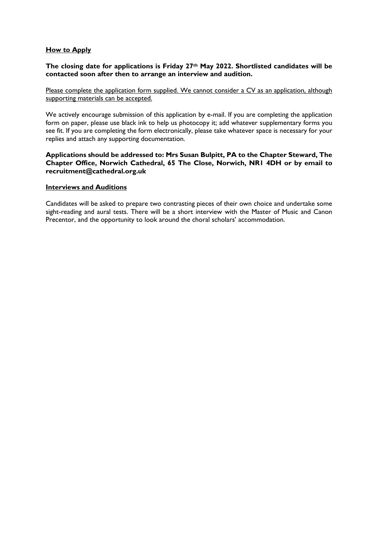#### **How to Apply**

#### **The closing date for applications is Friday 27th May 2022. Shortlisted candidates will be contacted soon after then to arrange an interview and audition.**

Please complete the application form supplied. We cannot consider a CV as an application, although supporting materials can be accepted.

We actively encourage submission of this application by e-mail. If you are completing the application form on paper, please use black ink to help us photocopy it; add whatever supplementary forms you see fit. If you are completing the form electronically, please take whatever space is necessary for your replies and attach any supporting documentation.

#### **Applications should be addressed to: Mrs Susan Bulpitt, PA to the Chapter Steward, The Chapter Office, Norwich Cathedral, 65 The Close, Norwich, NR1 4DH or by email to recruitment@cathedral.org.uk**

#### **Interviews and Auditions**

Candidates will be asked to prepare two contrasting pieces of their own choice and undertake some sight-reading and aural tests. There will be a short interview with the Master of Music and Canon Precentor, and the opportunity to look around the choral scholars' accommodation.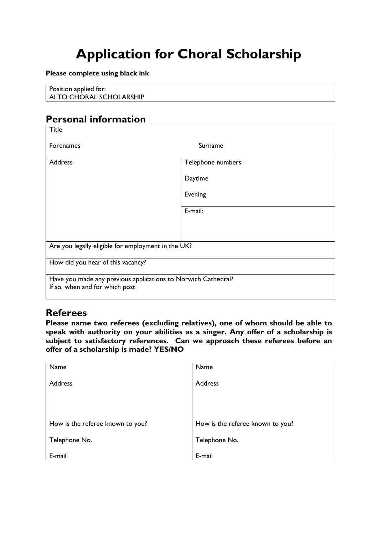## **Application for Choral Scholarship**

#### **Please complete using black ink**

Position applied for: ALTO CHORAL SCHOLARSHIP

### **Personal information**

| <b>Title</b>                                                                                    |                    |  |  |  |
|-------------------------------------------------------------------------------------------------|--------------------|--|--|--|
| Forenames                                                                                       | Surname            |  |  |  |
| Address                                                                                         | Telephone numbers: |  |  |  |
|                                                                                                 | Daytime            |  |  |  |
|                                                                                                 | Evening            |  |  |  |
|                                                                                                 | E-mail:            |  |  |  |
|                                                                                                 |                    |  |  |  |
| Are you legally eligible for employment in the UK?                                              |                    |  |  |  |
| How did you hear of this vacancy?                                                               |                    |  |  |  |
| Have you made any previous applications to Norwich Cathedral?<br>If so, when and for which post |                    |  |  |  |

### **Referees**

**Please name two referees (excluding relatives), one of whom should be able to speak with authority on your abilities as a singer. Any offer of a scholarship is subject to satisfactory references. Can we approach these referees before an offer of a scholarship is made? YES/NO**

| Name                             | Name                             |
|----------------------------------|----------------------------------|
| Address                          | Address                          |
|                                  |                                  |
| How is the referee known to you? | How is the referee known to you? |
|                                  |                                  |
| Telephone No.                    | Telephone No.                    |
|                                  |                                  |
| E-mail                           | E-mail                           |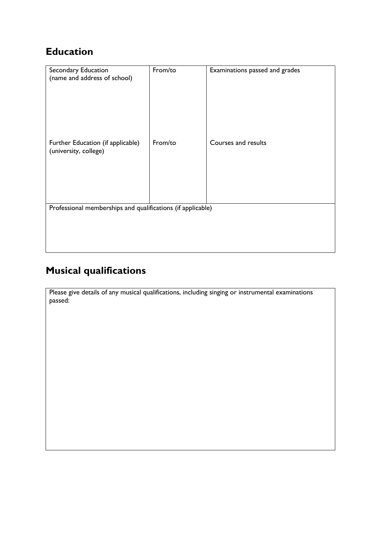## **Education**

| Secondary Education<br>(name and address of school)         | From/to | Examinations passed and grades |
|-------------------------------------------------------------|---------|--------------------------------|
| Further Education (if applicable)<br>(university, college)  | From/to | Courses and results            |
| Professional memberships and qualifications (if applicable) |         |                                |

## **Musical qualifications**

Please give details of any musical qualifications, including singing or instrumental examinations passed: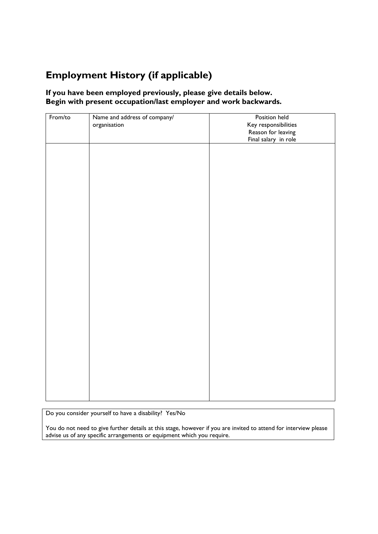## **Employment History (if applicable)**

#### **If you have been employed previously, please give details below. Begin with present occupation/last employer and work backwards.**

| From/to | Name and address of company/<br>organisation | Position held<br>Key responsibilities<br>Reason for leaving<br>Final salary in role |
|---------|----------------------------------------------|-------------------------------------------------------------------------------------|
|         |                                              |                                                                                     |
|         |                                              |                                                                                     |
|         |                                              |                                                                                     |
|         |                                              |                                                                                     |
|         |                                              |                                                                                     |
|         |                                              |                                                                                     |
|         |                                              |                                                                                     |
|         |                                              |                                                                                     |
|         |                                              |                                                                                     |

Do you consider yourself to have a disability? Yes/No

You do not need to give further details at this stage, however if you are invited to attend for interview please advise us of any specific arrangements or equipment which you require.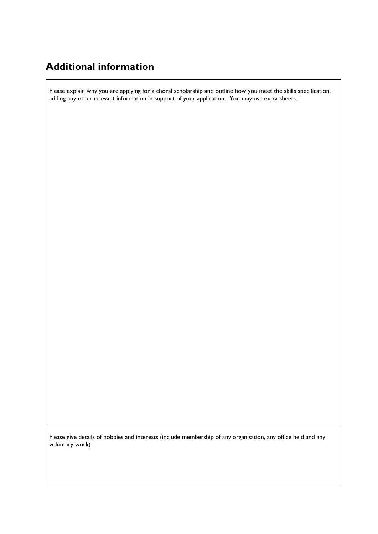## **Additional information**

Please explain why you are applying for a choral scholarship and outline how you meet the skills specification, adding any other relevant information in support of your application. You may use extra sheets.

Please give details of hobbies and interests (include membership of any organisation, any office held and any voluntary work)